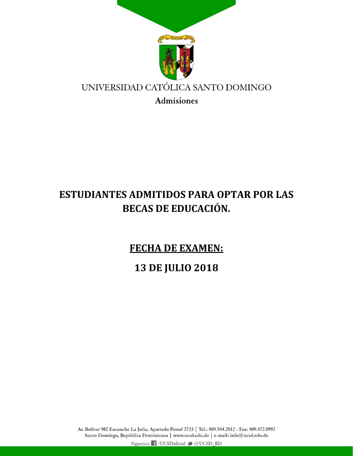

## **ESTUDIANTES ADMITIDOS PARA OPTAR POR LAS BECAS DE EDUCACIÓN.**

**FECHA DE EXAMEN:** 

**13 DE JULIO 2018**

Av. Bolívar 902 Ensanche La Julia, Apartado Postal 2733 | Tel.: 809.544.2812 - Fax: 809.472.0992 Santo Domingo, República Dominicana | www.ucsd.edu.do | e-mail: info@ucsd.edu.do Síguenos: f /UCSDoficial v @UCSD\_RD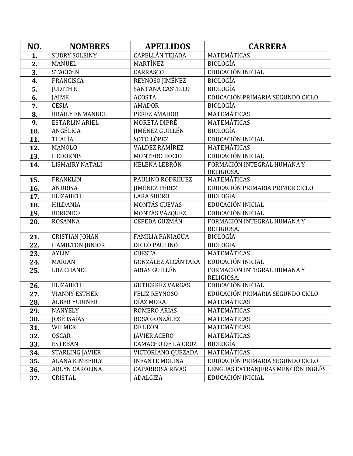| NO.              | <b>NOMBRES</b>         | <b>APELLIDOS</b>          | <b>CARRERA</b>                     |
|------------------|------------------------|---------------------------|------------------------------------|
| 1.               | <b>SUDRY SOLEINY</b>   | CAPELLÁN TEJADA           | MATEMÁTICAS                        |
| 2.               | <b>MANUEL</b>          | MARTÍNEZ                  | <b>BIOLOGÍA</b>                    |
| 3.               | <b>STACEY N</b>        | CARRASCO                  | EDUCACIÓN INICIAL                  |
| 4.               | <b>FRANCISCA</b>       | REYNOSO JIMÉNEZ           | <b>BIOLOGÍA</b>                    |
| $\overline{5}$ . | <b>JUDITH E</b>        | <b>SANTANA CASTILLO</b>   | <b>BIOLOGÍA</b>                    |
| 6.               | <b>JAIME</b>           | <b>ACOSTA</b>             | EDUCACIÓN PRIMARIA SEGUNDO CICLO   |
| 7.               | <b>CESIA</b>           | <b>AMADOR</b>             | <b>BIOLOGÍA</b>                    |
| 8.               | <b>BRAILY ENMANUEL</b> | PÉREZ AMADOR              | <b>MATEMÁTICAS</b>                 |
| 9.               | <b>ESTARLIN ARIEL</b>  | MORETA DIPRÉ              | <b>MATEMÁTICAS</b>                 |
| 10.              | ANGÉLICA               | <b>JIMÉNEZ GUILLÉN</b>    | <b>BIOLOGÍA</b>                    |
| 11.              | THALÍA                 | SOTO LÓPEZ                | EDUCACIÓN INICIAL                  |
| 12.              | <b>MANOLO</b>          | <b>VALDEZ RAMÍREZ</b>     | MATEMÁTICAS                        |
| 13.              | <b>HEDORNIS</b>        | MONTERO BOCIO             | EDUCACIÓN INICIAL                  |
| 14.              | <b>LISMAIRY NATALI</b> | <b>HELENA LEBRÓN</b>      | FORMACIÓN INTEGRAL HUMANA Y        |
|                  |                        |                           | RELIGIOSA.                         |
| 15.              | <b>FRANKLIN</b>        | PAULINO RODRIÍUEZ         | <b>MATEMÁTICAS</b>                 |
| 16.              | <b>ANDRISA</b>         | <b>IIMÉNEZ PÉREZ</b>      | EDUCACIÓN PRIMARIA PRIMER CICLO    |
| 17.              | <b>ELIZABETH</b>       | <b>LARA SUERO</b>         | <b>BIOLOGÍA</b>                    |
| 18.              | <b>HILDANIA</b>        | <b>MONTÁS CUEVAS</b>      | EDUCACIÓN INICIAL                  |
| 19.              | <b>BERENICE</b>        | MONTÁS VÁZQUEZ            | EDUCACIÓN INICIAL                  |
| 20.              | <b>ROSANNA</b>         | <b>CEPEDA GUZMÁN</b>      | FORMACIÓN INTEGRAL HUMANA Y        |
|                  | <b>CRISTIAN JOHAN</b>  | <b>FAMILIA PANIAGUA</b>   | RELIGIOSA.<br><b>BIOLOGÍA</b>      |
| 21.<br>22.       | <b>HAMILTON JUNIOR</b> | <b>DICLÓ PAULINO</b>      | <b>BIOLOGÍA</b>                    |
| 23.              | <b>AYLIM</b>           | <b>CUESTA</b>             | MATEMÁTICAS                        |
| 24.              | <b>MARIAN</b>          | <b>GONZÁLEZ ALCÁNTARA</b> | EDUCACIÓN INICIAL                  |
| 25.              | <b>LUZ CHANEL</b>      | ARIAS GUILLÉN             | FORMACIÓN INTEGRAL HUMANA Y        |
|                  |                        |                           | RELIGIOSA.                         |
| 26.              | <b>ELIZABETH</b>       | <b>GUTIÉRREZ VARGAS</b>   | EDUCACIÓN INICIAL                  |
| 27.              | <b>VIANNY ESTHER</b>   | <b>FELIZ REYNOSO</b>      | EDUCACIÓN PRIMARIA SEGUNDO CICLO   |
| 28.              | <b>ALBER YURINER</b>   | DÍAZ MORA                 | <b>MATEMÁTICAS</b>                 |
| 29.              | <b>NANYELY</b>         | ROMERO ARIAS              | MATEMÁTICAS                        |
| 30.              | JOSÉ ISAÍAS            | ROSA GONZÁLEZ             | MATEMÁTICAS                        |
| 31.              | <b>WILMER</b>          | DE LEÓN                   | MATEMÁTICAS                        |
| 32.              | <b>OSCAR</b>           | <b>JAVIER ACERO</b>       | MATEMÁTICAS                        |
| 33.              | <b>ESTEBAN</b>         | <b>CAMACHO DE LA CRUZ</b> | <b>BIOLOGÍA</b>                    |
| 34.              | <b>STARLING JAVIER</b> | VICTORIANO QUEZADA        | MATEMÁTICAS                        |
| 35.              | <b>ALANA KIMBERLY</b>  | <b>INFANTE MOLINA</b>     | EDUCACIÓN PRIMARIA SEGUNDO CICLO   |
| 36.              | <b>ARLYN CAROLINA</b>  | <b>CAPARROSA RIVAS</b>    | LENGUAS EXTRANJERAS MENCIÓN INGLÉS |
| 37.              | CRISTAL                | ADALGIZA                  | EDUCACIÓN INICIAL                  |